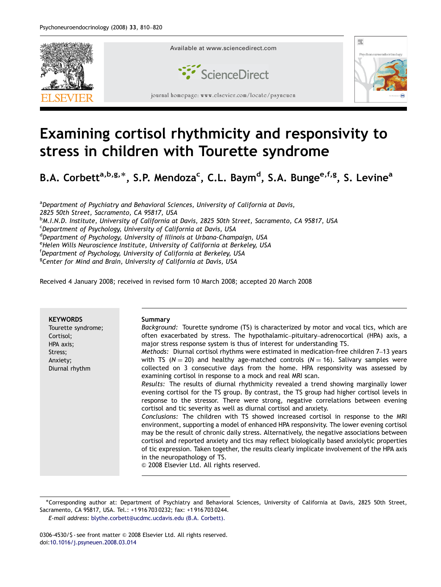

## Examining cortisol rhythmicity and responsivity to stress in children with Tourette syndrome

B.A. Corbett<sup>a,b,g,\*</sup>, S.P. Mendoza<sup>c</sup>, C.L. Baym<sup>d</sup>, S.A. Bunge<sup>e,f,g</sup>, S. Levine<sup>a</sup>

<sup>a</sup>Department of Psychiatry and Behavioral Sciences, University of California at Davis, 2825 50th Street, Sacramento, CA 95817, USA b M.I.N.D. Institute, University of California at Davis, 2825 50th Street, Sacramento, CA 95817, USA <sup>c</sup>Department of Psychology, University of California at Davis, USA <sup>d</sup> Department of Psychology, University of Illinois at Urbana-Champaign, USA <sup>e</sup>Helen Wills Neuroscience Institute, University of California at Berkeley, USA f Department of Psychology, University of California at Berkeley, USA <sup>g</sup>Center for Mind and Brain, University of California at Davis, USA

Received 4 January 2008; received in revised form 10 March 2008; accepted 20 March 2008

| <b>KEYWORDS</b><br>Tourette syndrome;<br>Cortisol;<br>HPA axis;<br>Stress;<br>Anxiety;<br>Diurnal rhythm | Summary<br>Background: Tourette syndrome (TS) is characterized by motor and vocal tics, which are<br>often exacerbated by stress. The hypothalamic-pituitary-adrenocortical (HPA) axis, a<br>major stress response system is thus of interest for understanding TS.<br>Methods: Diurnal cortisol rhythms were estimated in medication-free children 7-13 years<br>with TS ( $N = 20$ ) and healthy age-matched controls ( $N = 16$ ). Salivary samples were<br>collected on 3 consecutive days from the home. HPA responsivity was assessed by<br>examining cortisol in response to a mock and real MRI scan.<br>Results: The results of diurnal rhythmicity revealed a trend showing marginally lower<br>evening cortisol for the TS group. By contrast, the TS group had higher cortisol levels in<br>response to the stressor. There were strong, negative correlations between evening<br>cortisol and tic severity as well as diurnal cortisol and anxiety.<br>Conclusions: The children with TS showed increased cortisol in response to the MRI<br>environment, supporting a model of enhanced HPA responsivity. The lower evening cortisol<br>may be the result of chronic daily stress. Alternatively, the negative associations between<br>cortisol and reported anxiety and tics may reflect biologically based anxiolytic properties |
|----------------------------------------------------------------------------------------------------------|--------------------------------------------------------------------------------------------------------------------------------------------------------------------------------------------------------------------------------------------------------------------------------------------------------------------------------------------------------------------------------------------------------------------------------------------------------------------------------------------------------------------------------------------------------------------------------------------------------------------------------------------------------------------------------------------------------------------------------------------------------------------------------------------------------------------------------------------------------------------------------------------------------------------------------------------------------------------------------------------------------------------------------------------------------------------------------------------------------------------------------------------------------------------------------------------------------------------------------------------------------------------------------------------------------------------------------------------------|
|                                                                                                          | of tic expression. Taken together, the results clearly implicate involvement of the HPA axis<br>in the neuropathology of TS.<br>© 2008 Elsevier Ltd. All rights reserved.                                                                                                                                                                                                                                                                                                                                                                                                                                                                                                                                                                                                                                                                                                                                                                                                                                                                                                                                                                                                                                                                                                                                                                        |

<sup>-</sup>Corresponding author at: Department of Psychiatry and Behavioral Sciences, University of California at Davis, 2825 50th Street, Sacramento, CA 95817, USA. Tel.: +1 916 703 0232; fax: +1 916 703 0244.

E-mail address: [blythe.corbett@ucdmc.ucdavis.edu \(B.A. Corbett\).](mailto:blythe.corbett@ucdmc.ucdavis.edu)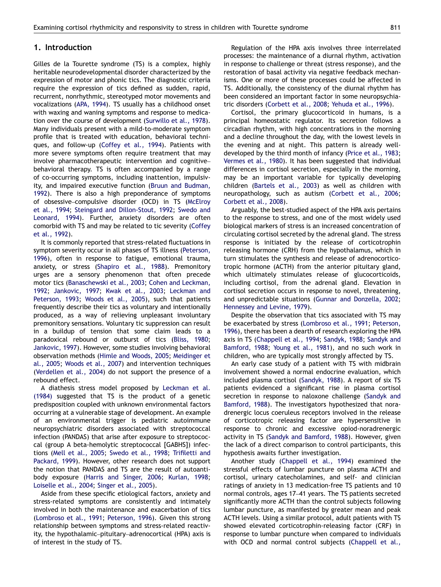## 1. Introduction

Gilles de la Tourette syndrome (TS) is a complex, highly heritable neurodevelopmental disorder characterized by the expression of motor and phonic tics. The diagnostic criteria require the expression of tics defined as sudden, rapid, recurrent, nonrhythmic, stereotyped motor movements and vocalizations [\(APA, 1994](#page--1-0)). TS usually has a childhood onset with waxing and waning symptoms and response to medication over the course of development [\(Surwillo et al., 1978\)](#page--1-0). Many individuals present with a mild-to-moderate symptom profile that is treated with education, behavioral techniques, and follow-up [\(Coffey et al., 1994](#page--1-0)). Patients with more severe symptoms often require treatment that may involve pharmacotherapeutic intervention and cognitive– behavioral therapy. TS is often accompanied by a range of co-occurring symptoms, including inattention, impulsivity, and impaired executive function ([Bruun and Budman,](#page--1-0) [1992](#page--1-0)). There is also a high preponderance of symptoms of obsessive–compulsive disorder (OCD) in TS ([McElroy](#page--1-0) [et al., 1994;](#page--1-0) [Steingard and Dillon-Stout, 1992;](#page--1-0) [Swedo and](#page--1-0) [Leonard, 1994](#page--1-0)). Further, anxiety disorders are often comorbid with TS and may be related to tic severity ([Coffey](#page--1-0) [et al., 1992](#page--1-0)).

It is commonly reported that stress-related fluctuations in symptom severity occur in all phases of TS illness ([Peterson,](#page--1-0) [1996](#page--1-0)), often in response to fatigue, emotional trauma, anxiety, or stress [\(Shapiro et al., 1988\)](#page--1-0). Premonitory urges are a sensory phenomenon that often precede motor tics [\(Banaschewski et al., 2003](#page--1-0); [Cohen and Leckman,](#page--1-0) [1992](#page--1-0); [Jankovic, 1997](#page--1-0); [Kwak et al., 2003;](#page--1-0) [Leckman and](#page--1-0) [Peterson, 1993;](#page--1-0) [Woods et al., 2005](#page--1-0)), such that patients frequently describe their tics as voluntary and intentionally produced, as a way of relieving unpleasant involuntary premonitory sensations. Voluntary tic suppression can result in a buildup of tension that some claim leads to a paradoxical rebound or outburst of tics ([Bliss, 1980](#page--1-0); [Jankovic, 1997\)](#page--1-0). However, some studies involving behavioral observation methods ([Himle and Woods, 2005](#page--1-0); [Meidinger et](#page--1-0) [al., 2005](#page--1-0); [Woods et al., 2007](#page--1-0)) and intervention techniques ([Verdellen et al., 2004](#page--1-0)) do not support the presence of a rebound effect.

A diathesis stress model proposed by [Leckman et al.](#page--1-0) [\(1984\)](#page--1-0) suggested that TS is the product of a genetic predisposition coupled with unknown environmental factors occurring at a vulnerable stage of development. An example of an environmental trigger is pediatric autoimmune neuropsychiatric disorders associated with streptococcal infection (PANDAS) that arise after exposure to streptococcal (group A beta-hemolytic streptococcal [GABHS]) infections ([Mell et al., 2005;](#page--1-0) [Swedo et al., 1998](#page--1-0); [Trifiletti and](#page--1-0) [Packard, 1999](#page--1-0)). However, other research does not support the notion that PANDAS and TS are the result of autoantibody exposure [\(Harris and Singer, 2006](#page--1-0); [Kurlan, 1998](#page--1-0); [Loiselle et al., 2004](#page--1-0); [Singer et al., 2005](#page--1-0)).

Aside from these specific etiological factors, anxiety and stress-related symptoms are consistently and intimately involved in both the maintenance and exacerbation of tics ([Lombroso et al., 1991](#page--1-0); [Peterson, 1996](#page--1-0)). Given this strong relationship between symptoms and stress-related reactivity, the hypothalamic–pituitary–adrenocortical (HPA) axis is of interest in the study of TS.

Regulation of the HPA axis involves three interrelated processes: the maintenance of a diurnal rhythm, activation in response to challenge or threat (stress response), and the restoration of basal activity via negative feedback mechanisms. One or more of these processes could be affected in TS. Additionally, the consistency of the diurnal rhythm has been considered an important factor in some neuropsychiatric disorders ([Corbett et al., 2008;](#page--1-0) [Yehuda et al., 1996](#page--1-0)).

Cortisol, the primary glucocorticoid in humans, is a principal homeostatic regulator. Its secretion follows a circadian rhythm, with high concentrations in the morning and a decline throughout the day, with the lowest levels in the evening and at night. This pattern is already welldeveloped by the third month of infancy ([Price et al., 1983](#page--1-0); [Vermes et al., 1980\)](#page--1-0). It has been suggested that individual differences in cortisol secretion, especially in the morning, may be an important variable for typically developing children ([Bartels et al., 2003](#page--1-0)) as well as children with neuropathology, such as autism ([Corbett et al., 2006](#page--1-0); [Corbett et al., 2008\)](#page--1-0).

Arguably, the best-studied aspect of the HPA axis pertains to the response to stress, and one of the most widely used biological markers of stress is an increased concentration of circulating cortisol secreted by the adrenal gland. The stress response is initiated by the release of corticotrophin releasing hormone (CRH) from the hypothalamus, which in turn stimulates the synthesis and release of adrenocorticotropic hormone (ACTH) from the anterior pituitary gland, which ultimately stimulates release of glucocorticoids, including cortisol, from the adrenal gland. Elevation in cortisol secretion occurs in response to novel, threatening, and unpredictable situations ([Gunnar and Donzella, 2002](#page--1-0); [Hennessey and Levine, 1979](#page--1-0)).

Despite the observation that tics associated with TS may be exacerbated by stress [\(Lombroso et al., 1991](#page--1-0); [Peterson,](#page--1-0) [1996](#page--1-0)), there has been a dearth of research exploring the HPA axis in TS ([Chappell et al., 1994](#page--1-0); [Sandyk, 1988](#page--1-0); [Sandyk and](#page--1-0) [Bamford, 1988;](#page--1-0) [Young et al., 1981\)](#page--1-0), and no such work in children, who are typically most strongly affected by TS.

An early case study of a patient with TS with midbrain involvement showed a normal endocrine evaluation, which included plasma cortisol [\(Sandyk, 1988](#page--1-0)). A report of six TS patients evidenced a significant rise in plasma cortisol secretion in response to naloxone challenge ([Sandyk and](#page--1-0) [Bamford, 1988](#page--1-0)). The investigators hypothesized that noradrenergic locus coeruleus receptors involved in the release of corticotropic releasing factor are hypersensitive in response to chronic and excessive opiod-noradrenergic activity in TS ([Sandyk and Bamford, 1988](#page--1-0)). However, given the lack of a direct comparison to control participants, this hypothesis awaits further investigation.

Another study ([Chappell et al., 1994](#page--1-0)) examined the stressful effects of lumbar puncture on plasma ACTH and cortisol, urinary catecholamines, and self- and clinician ratings of anxiety in 13 medication-free TS patients and 10 normal controls, ages 17–41 years. The TS patients secreted significantly more ACTH than the control subjects following lumbar puncture, as manifested by greater mean and peak ACTH levels. Using a similar protocol, adult patients with TS showed elevated corticotrophin-releasing factor (CRF) in response to lumbar puncture when compared to individuals with OCD and normal control subjects [\(Chappell et al.,](#page--1-0)